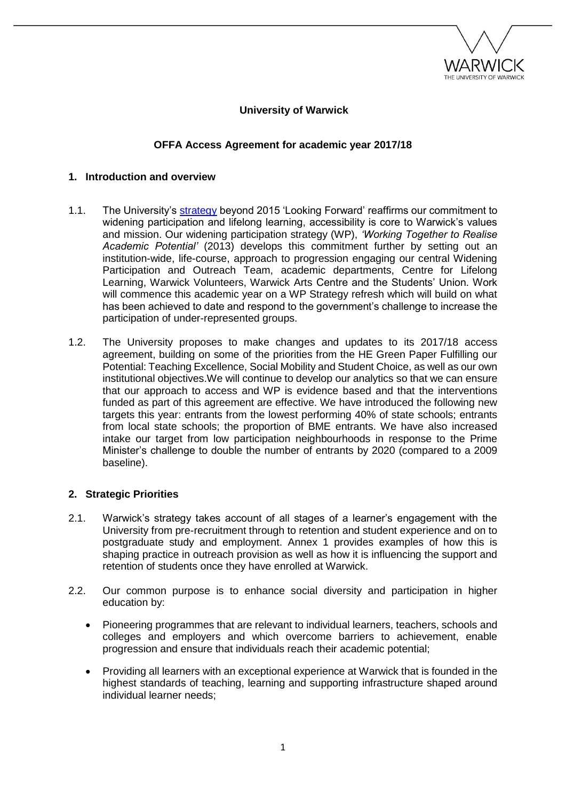

## **University of Warwick**

## **OFFA Access Agreement for academic year 2017/18**

#### **1. Introduction and overview**

- 1.1. The University's [strategy](http://www2.warwick.ac.uk/about/strategy) beyond 2015 'Looking Forward' reaffirms our commitment to widening participation and lifelong learning, accessibility is core to Warwick's values and mission. Our widening participation strategy (WP), *'Working Together to Realise Academic Potential'* (2013) develops this commitment further by setting out an institution-wide, life-course, approach to progression engaging our central Widening Participation and Outreach Team, academic departments, Centre for Lifelong Learning, Warwick Volunteers, Warwick Arts Centre and the Students' Union. Work will commence this academic year on a WP Strategy refresh which will build on what has been achieved to date and respond to the government's challenge to increase the participation of under-represented groups.
- 1.2. The University proposes to make changes and updates to its 2017/18 access agreement, building on some of the priorities from the HE Green Paper Fulfilling our Potential: Teaching Excellence, Social Mobility and Student Choice, as well as our own institutional objectives.We will continue to develop our analytics so that we can ensure that our approach to access and WP is evidence based and that the interventions funded as part of this agreement are effective. We have introduced the following new targets this year: entrants from the lowest performing 40% of state schools; entrants from local state schools; the proportion of BME entrants. We have also increased intake our target from low participation neighbourhoods in response to the Prime Minister's challenge to double the number of entrants by 2020 (compared to a 2009 baseline).

#### **2. Strategic Priorities**

- 2.1. Warwick's strategy takes account of all stages of a learner's engagement with the University from pre-recruitment through to retention and student experience and on to postgraduate study and employment. Annex 1 provides examples of how this is shaping practice in outreach provision as well as how it is influencing the support and retention of students once they have enrolled at Warwick.
- 2.2. Our common purpose is to enhance social diversity and participation in higher education by:
	- Pioneering programmes that are relevant to individual learners, teachers, schools and colleges and employers and which overcome barriers to achievement, enable progression and ensure that individuals reach their academic potential;
	- Providing all learners with an exceptional experience at Warwick that is founded in the highest standards of teaching, learning and supporting infrastructure shaped around individual learner needs;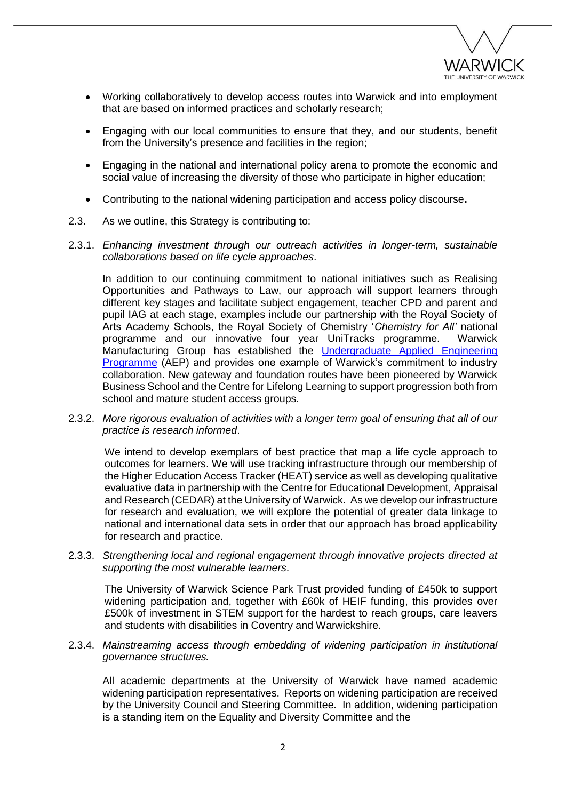

- Working collaboratively to develop access routes into Warwick and into employment that are based on informed practices and scholarly research;
- Engaging with our local communities to ensure that they, and our students, benefit from the University's presence and facilities in the region;
- Engaging in the national and international policy arena to promote the economic and social value of increasing the diversity of those who participate in higher education;
- Contributing to the national widening participation and access policy discourse**.**
- 2.3. As we outline, this Strategy is contributing to:
- 2.3.1. *Enhancing investment through our outreach activities in longer-term, sustainable collaborations based on life cycle approaches*.

In addition to our continuing commitment to national initiatives such as Realising Opportunities and Pathways to Law, our approach will support learners through different key stages and facilitate subject engagement, teacher CPD and parent and pupil IAG at each stage, examples include our partnership with the Royal Society of Arts Academy Schools, the Royal Society of Chemistry '*Chemistry for All'* national programme and our innovative four year UniTracks programme. Warwick Manufacturing Group has established the [Undergraduate Applied Engineering](http://www2.warwick.ac.uk/fac/sci/wmg/education/prof-ed/undergraduate/aep/)  [Programme](http://www2.warwick.ac.uk/fac/sci/wmg/education/prof-ed/undergraduate/aep/) (AEP) and provides one example of Warwick's commitment to industry collaboration. New gateway and foundation routes have been pioneered by Warwick Business School and the Centre for Lifelong Learning to support progression both from school and mature student access groups.

2.3.2. *More rigorous evaluation of activities with a longer term goal of ensuring that all of our practice is research informed*.

We intend to develop exemplars of best practice that map a life cycle approach to outcomes for learners. We will use tracking infrastructure through our membership of the Higher Education Access Tracker (HEAT) service as well as developing qualitative evaluative data in partnership with the Centre for Educational Development, Appraisal and Research (CEDAR) at the University of Warwick. As we develop our infrastructure for research and evaluation, we will explore the potential of greater data linkage to national and international data sets in order that our approach has broad applicability for research and practice.

2.3.3. *Strengthening local and regional engagement through innovative projects directed at supporting the most vulnerable learners*.

The University of Warwick Science Park Trust provided funding of £450k to support widening participation and, together with £60k of HEIF funding, this provides over £500k of investment in STEM support for the hardest to reach groups, care leavers and students with disabilities in Coventry and Warwickshire.

2.3.4. *Mainstreaming access through embedding of widening participation in institutional governance structures.*

All academic departments at the University of Warwick have named academic widening participation representatives. Reports on widening participation are received by the University Council and Steering Committee. In addition, widening participation is a standing item on the Equality and Diversity Committee and the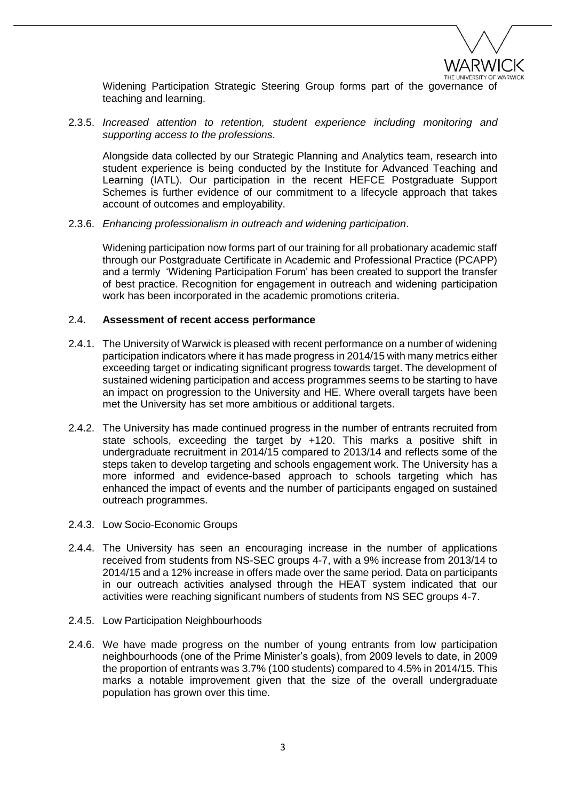

Widening Participation Strategic Steering Group forms part of the governance of teaching and learning.

2.3.5. *Increased attention to retention, student experience including monitoring and supporting access to the professions*.

Alongside data collected by our Strategic Planning and Analytics team, research into student experience is being conducted by the Institute for Advanced Teaching and Learning (IATL). Our participation in the recent HEFCE Postgraduate Support Schemes is further evidence of our commitment to a lifecycle approach that takes account of outcomes and employability.

2.3.6. *Enhancing professionalism in outreach and widening participation*.

Widening participation now forms part of our training for all probationary academic staff through our Postgraduate Certificate in Academic and Professional Practice (PCAPP) and a termly 'Widening Participation Forum' has been created to support the transfer of best practice. Recognition for engagement in outreach and widening participation work has been incorporated in the academic promotions criteria.

#### 2.4. **Assessment of recent access performance**

- 2.4.1. The University of Warwick is pleased with recent performance on a number of widening participation indicators where it has made progress in 2014/15 with many metrics either exceeding target or indicating significant progress towards target. The development of sustained widening participation and access programmes seems to be starting to have an impact on progression to the University and HE. Where overall targets have been met the University has set more ambitious or additional targets.
- 2.4.2. The University has made continued progress in the number of entrants recruited from state schools, exceeding the target by +120. This marks a positive shift in undergraduate recruitment in 2014/15 compared to 2013/14 and reflects some of the steps taken to develop targeting and schools engagement work. The University has a more informed and evidence-based approach to schools targeting which has enhanced the impact of events and the number of participants engaged on sustained outreach programmes.
- 2.4.3. Low Socio-Economic Groups
- 2.4.4. The University has seen an encouraging increase in the number of applications received from students from NS-SEC groups 4-7, with a 9% increase from 2013/14 to 2014/15 and a 12% increase in offers made over the same period. Data on participants in our outreach activities analysed through the HEAT system indicated that our activities were reaching significant numbers of students from NS SEC groups 4-7.
- 2.4.5. Low Participation Neighbourhoods
- 2.4.6. We have made progress on the number of young entrants from low participation neighbourhoods (one of the Prime Minister's goals), from 2009 levels to date, in 2009 the proportion of entrants was 3.7% (100 students) compared to 4.5% in 2014/15. This marks a notable improvement given that the size of the overall undergraduate population has grown over this time.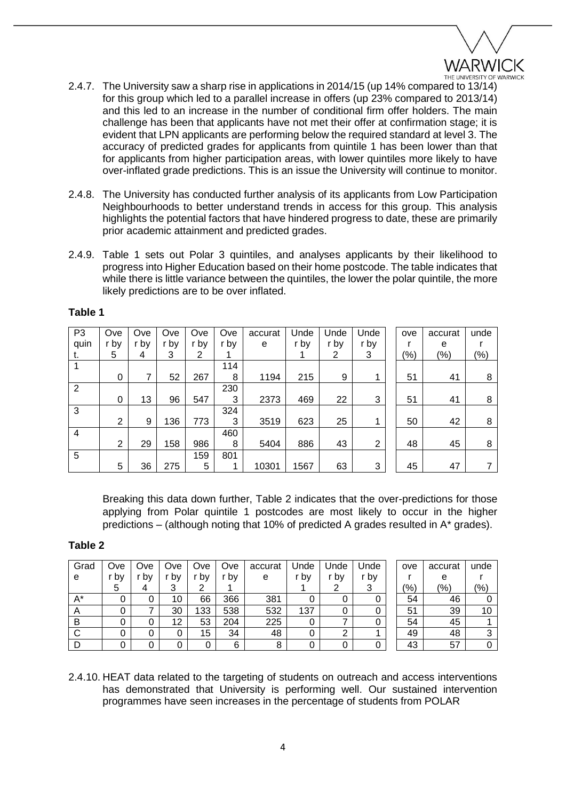

- 2.4.7. The University saw a sharp rise in applications in 2014/15 (up 14% compared to 13/14) for this group which led to a parallel increase in offers (up 23% compared to 2013/14) and this led to an increase in the number of conditional firm offer holders. The main challenge has been that applicants have not met their offer at confirmation stage; it is evident that LPN applicants are performing below the required standard at level 3. The accuracy of predicted grades for applicants from quintile 1 has been lower than that for applicants from higher participation areas, with lower quintiles more likely to have over-inflated grade predictions. This is an issue the University will continue to monitor.
- 2.4.8. The University has conducted further analysis of its applicants from Low Participation Neighbourhoods to better understand trends in access for this group. This analysis highlights the potential factors that have hindered progress to date, these are primarily prior academic attainment and predicted grades.
- 2.4.9. Table 1 sets out Polar 3 quintiles, and analyses applicants by their likelihood to progress into Higher Education based on their home postcode. The table indicates that while there is little variance between the quintiles, the lower the polar quintile, the more likely predictions are to be over inflated.

| P <sub>3</sub> | Ove            | Ove  | Ove  | Ove  | Ove  | accurat | Unde | Unde | Unde | ove     | accurat | unde    |
|----------------|----------------|------|------|------|------|---------|------|------|------|---------|---------|---------|
| quin           | r by           | r by | r by | r by | r by | e       | r by | r by | r by |         | е       |         |
| ι.             | 5              | 4    | 3    | 2    |      |         |      | 2    | 3    | $(\% )$ | $(\%)$  | $(\% )$ |
|                |                |      |      |      | 114  |         |      |      |      |         |         |         |
|                | 0              |      | 52   | 267  | 8    | 1194    | 215  | 9    |      | 51      | 41      | 8       |
| $\overline{2}$ |                |      |      |      | 230  |         |      |      |      |         |         |         |
|                | 0              | 13   | 96   | 547  | 3    | 2373    | 469  | 22   | 3    | 51      | 41      | 8       |
| 3              |                |      |      |      | 324  |         |      |      |      |         |         |         |
|                | 2              | 9    | 136  | 773  | 3    | 3519    | 623  | 25   | 1    | 50      | 42      | 8       |
| 4              |                |      |      |      | 460  |         |      |      |      |         |         |         |
|                | $\overline{2}$ | 29   | 158  | 986  | 8    | 5404    | 886  | 43   | 2    | 48      | 45      | 8       |
| 5              |                |      |      | 159  | 801  |         |      |      |      |         |         |         |
|                | 5              | 36   | 275  | 5    |      | 10301   | 1567 | 63   | 3    | 45      | 47      |         |

## **Table 1**

Breaking this data down further, Table 2 indicates that the over-predictions for those applying from Polar quintile 1 postcodes are most likely to occur in the higher predictions – (although noting that 10% of predicted A grades resulted in A\* grades).

## **Table 2**

| Grad           | Ove  | Ove | Ove | Ove | Ove | accurat | Unde | Unde | Unde | ove           | accurat       | unde           |
|----------------|------|-----|-----|-----|-----|---------|------|------|------|---------------|---------------|----------------|
| e              | . pv | by  | by  | by  | bv  | е       | r bv | r bv | r bv |               | е             |                |
|                | 5    |     |     |     |     |         |      |      |      | $\frac{1}{6}$ | $\frac{1}{2}$ | $\frac{10}{6}$ |
| $A^*$          |      | 0   | 10  | 66  | 366 | 381     | υ    |      | 0    | 54            | 46            |                |
| $\overline{A}$ |      |     | 30  | 133 | 538 | 532     | 137  |      | 0    | 51            | 39            | 10             |
| в              |      | u   | 12  | 53  | 204 | 225     |      |      | 0    | 54            | 45            |                |
|                |      | 0   |     | 15  | 34  | 48      |      | ◠    |      | 49            | 48            | ว              |
|                |      |     |     | 0   | 6   | 8       |      |      | 0    | 43            | 57            |                |

2.4.10. HEAT data related to the targeting of students on outreach and access interventions has demonstrated that University is performing well. Our sustained intervention programmes have seen increases in the percentage of students from POLAR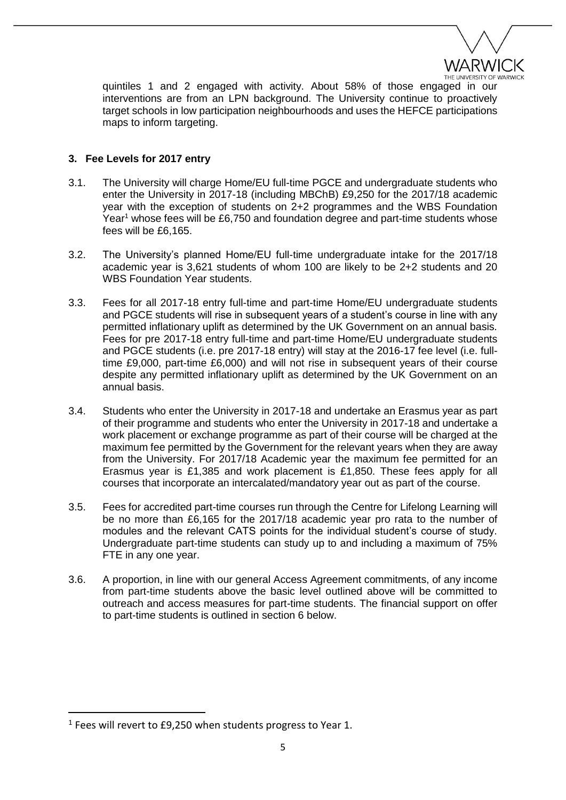

quintiles 1 and 2 engaged with activity. About 58% of those engaged in our interventions are from an LPN background. The University continue to proactively target schools in low participation neighbourhoods and uses the HEFCE participations maps to inform targeting.

# **3. Fee Levels for 2017 entry**

- 3.1. The University will charge Home/EU full-time PGCE and undergraduate students who enter the University in 2017-18 (including MBChB) £9,250 for the 2017/18 academic year with the exception of students on 2+2 programmes and the WBS Foundation Year<sup>1</sup> whose fees will be £6,750 and foundation degree and part-time students whose fees will be £6,165.
- 3.2. The University's planned Home/EU full-time undergraduate intake for the 2017/18 academic year is 3,621 students of whom 100 are likely to be 2+2 students and 20 WBS Foundation Year students.
- 3.3. Fees for all 2017-18 entry full-time and part-time Home/EU undergraduate students and PGCE students will rise in subsequent years of a student's course in line with any permitted inflationary uplift as determined by the UK Government on an annual basis. Fees for pre 2017-18 entry full-time and part-time Home/EU undergraduate students and PGCE students (i.e. pre 2017-18 entry) will stay at the 2016-17 fee level (i.e. fulltime £9,000, part-time £6,000) and will not rise in subsequent years of their course despite any permitted inflationary uplift as determined by the UK Government on an annual basis.
- 3.4. Students who enter the University in 2017-18 and undertake an Erasmus year as part of their programme and students who enter the University in 2017-18 and undertake a work placement or exchange programme as part of their course will be charged at the maximum fee permitted by the Government for the relevant years when they are away from the University. For 2017/18 Academic year the maximum fee permitted for an Erasmus year is £1,385 and work placement is £1,850. These fees apply for all courses that incorporate an intercalated/mandatory year out as part of the course.
- 3.5. Fees for accredited part-time courses run through the Centre for Lifelong Learning will be no more than £6,165 for the 2017/18 academic year pro rata to the number of modules and the relevant CATS points for the individual student's course of study. Undergraduate part-time students can study up to and including a maximum of 75% FTE in any one year.
- 3.6. A proportion, in line with our general Access Agreement commitments, of any income from part-time students above the basic level outlined above will be committed to outreach and access measures for part-time students. The financial support on offer to part-time students is outlined in section 6 below.

1

 $1$  Fees will revert to £9,250 when students progress to Year 1.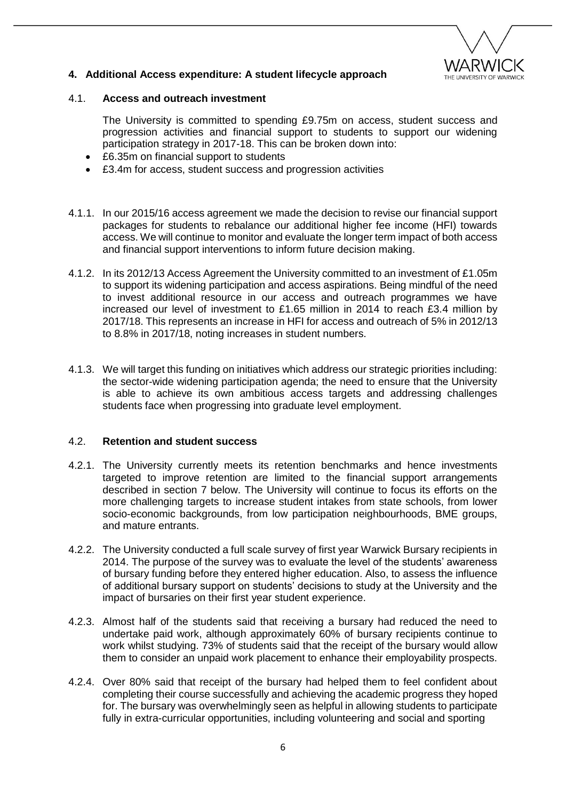

## **4. Additional Access expenditure: A student lifecycle approach**

### 4.1. **Access and outreach investment**

The University is committed to spending £9.75m on access, student success and progression activities and financial support to students to support our widening participation strategy in 2017-18. This can be broken down into:

- £6.35m on financial support to students
- £3.4m for access, student success and progression activities
- 4.1.1. In our 2015/16 access agreement we made the decision to revise our financial support packages for students to rebalance our additional higher fee income (HFI) towards access. We will continue to monitor and evaluate the longer term impact of both access and financial support interventions to inform future decision making.
- 4.1.2. In its 2012/13 Access Agreement the University committed to an investment of £1.05m to support its widening participation and access aspirations. Being mindful of the need to invest additional resource in our access and outreach programmes we have increased our level of investment to £1.65 million in 2014 to reach £3.4 million by 2017/18. This represents an increase in HFI for access and outreach of 5% in 2012/13 to 8.8% in 2017/18, noting increases in student numbers.
- 4.1.3. We will target this funding on initiatives which address our strategic priorities including: the sector-wide widening participation agenda; the need to ensure that the University is able to achieve its own ambitious access targets and addressing challenges students face when progressing into graduate level employment.

## 4.2. **Retention and student success**

- 4.2.1. The University currently meets its retention benchmarks and hence investments targeted to improve retention are limited to the financial support arrangements described in section 7 below. The University will continue to focus its efforts on the more challenging targets to increase student intakes from state schools, from lower socio-economic backgrounds, from low participation neighbourhoods, BME groups, and mature entrants.
- 4.2.2. The University conducted a full scale survey of first year Warwick Bursary recipients in 2014. The purpose of the survey was to evaluate the level of the students' awareness of bursary funding before they entered higher education. Also, to assess the influence of additional bursary support on students' decisions to study at the University and the impact of bursaries on their first year student experience.
- 4.2.3. Almost half of the students said that receiving a bursary had reduced the need to undertake paid work, although approximately 60% of bursary recipients continue to work whilst studying. 73% of students said that the receipt of the bursary would allow them to consider an unpaid work placement to enhance their employability prospects.
- 4.2.4. Over 80% said that receipt of the bursary had helped them to feel confident about completing their course successfully and achieving the academic progress they hoped for. The bursary was overwhelmingly seen as helpful in allowing students to participate fully in extra-curricular opportunities, including volunteering and social and sporting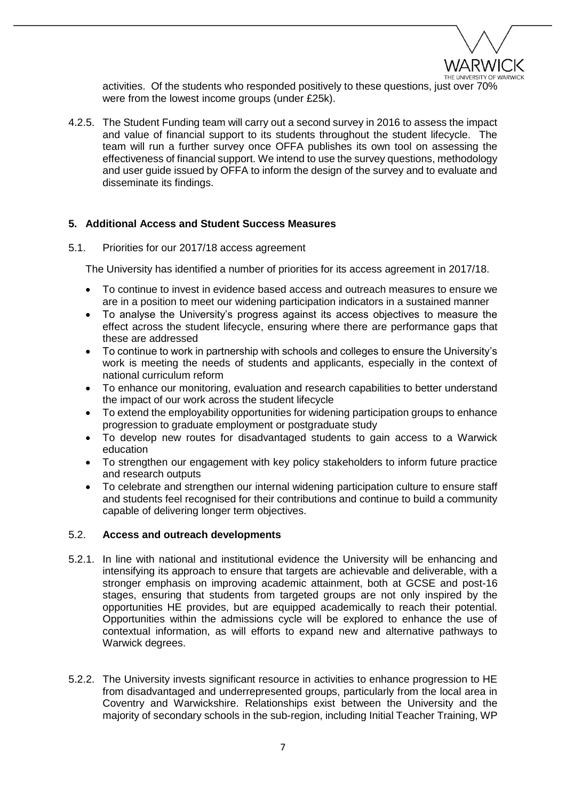

activities. Of the students who responded positively to these questions, just over 70% were from the lowest income groups (under £25k).

4.2.5. The Student Funding team will carry out a second survey in 2016 to assess the impact and value of financial support to its students throughout the student lifecycle. The team will run a further survey once OFFA publishes its own tool on assessing the effectiveness of financial support. We intend to use the survey questions, methodology and user guide issued by OFFA to inform the design of the survey and to evaluate and disseminate its findings.

### **5. Additional Access and Student Success Measures**

#### 5.1. Priorities for our 2017/18 access agreement

The University has identified a number of priorities for its access agreement in 2017/18.

- To continue to invest in evidence based access and outreach measures to ensure we are in a position to meet our widening participation indicators in a sustained manner
- To analyse the University's progress against its access objectives to measure the effect across the student lifecycle, ensuring where there are performance gaps that these are addressed
- To continue to work in partnership with schools and colleges to ensure the University's work is meeting the needs of students and applicants, especially in the context of national curriculum reform
- To enhance our monitoring, evaluation and research capabilities to better understand the impact of our work across the student lifecycle
- To extend the employability opportunities for widening participation groups to enhance progression to graduate employment or postgraduate study
- To develop new routes for disadvantaged students to gain access to a Warwick education
- To strengthen our engagement with key policy stakeholders to inform future practice and research outputs
- To celebrate and strengthen our internal widening participation culture to ensure staff and students feel recognised for their contributions and continue to build a community capable of delivering longer term objectives.

#### 5.2. **Access and outreach developments**

- 5.2.1. In line with national and institutional evidence the University will be enhancing and intensifying its approach to ensure that targets are achievable and deliverable, with a stronger emphasis on improving academic attainment, both at GCSE and post-16 stages, ensuring that students from targeted groups are not only inspired by the opportunities HE provides, but are equipped academically to reach their potential. Opportunities within the admissions cycle will be explored to enhance the use of contextual information, as will efforts to expand new and alternative pathways to Warwick degrees.
- 5.2.2. The University invests significant resource in activities to enhance progression to HE from disadvantaged and underrepresented groups, particularly from the local area in Coventry and Warwickshire. Relationships exist between the University and the majority of secondary schools in the sub-region, including Initial Teacher Training, WP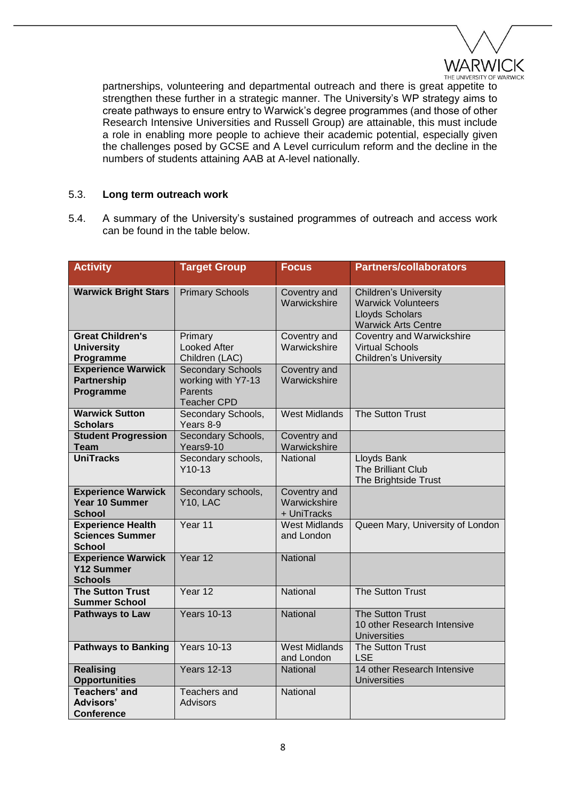

partnerships, volunteering and departmental outreach and there is great appetite to strengthen these further in a strategic manner. The University's WP strategy aims to create pathways to ensure entry to Warwick's degree programmes (and those of other Research Intensive Universities and Russell Group) are attainable, this must include a role in enabling more people to achieve their academic potential, especially given the challenges posed by GCSE and A Level curriculum reform and the decline in the numbers of students attaining AAB at A-level nationally.

### 5.3. **Long term outreach work**

5.4. A summary of the University's sustained programmes of outreach and access work can be found in the table below.

| <b>Activity</b>                                                     | <b>Target Group</b>                                                                    | <b>Focus</b>                                | <b>Partners/collaborators</b>                                                                                     |
|---------------------------------------------------------------------|----------------------------------------------------------------------------------------|---------------------------------------------|-------------------------------------------------------------------------------------------------------------------|
| <b>Warwick Bright Stars</b>                                         | <b>Primary Schools</b>                                                                 | Coventry and<br>Warwickshire                | <b>Children's University</b><br><b>Warwick Volunteers</b><br><b>Lloyds Scholars</b><br><b>Warwick Arts Centre</b> |
| <b>Great Children's</b><br><b>University</b><br>Programme           | Primary<br><b>Looked After</b><br>Children (LAC)                                       | Coventry and<br>Warwickshire                | <b>Coventry and Warwickshire</b><br><b>Virtual Schools</b><br><b>Children's University</b>                        |
| <b>Experience Warwick</b><br><b>Partnership</b><br>Programme        | <b>Secondary Schools</b><br>working with Y7-13<br><b>Parents</b><br><b>Teacher CPD</b> | Coventry and<br>Warwickshire                |                                                                                                                   |
| <b>Warwick Sutton</b><br><b>Scholars</b>                            | Secondary Schools,<br>Years 8-9                                                        | <b>West Midlands</b>                        | The Sutton Trust                                                                                                  |
| <b>Student Progression</b><br><b>Team</b>                           | Secondary Schools,<br>Years9-10                                                        | Coventry and<br>Warwickshire                |                                                                                                                   |
| <b>UniTracks</b>                                                    | Secondary schools,<br>$Y10-13$                                                         | National                                    | Lloyds Bank<br>The Brilliant Club<br>The Brightside Trust                                                         |
| <b>Experience Warwick</b><br>Year 10 Summer<br><b>School</b>        | Secondary schools,<br>Y10, LAC                                                         | Coventry and<br>Warwickshire<br>+ UniTracks |                                                                                                                   |
| <b>Experience Health</b><br><b>Sciences Summer</b><br><b>School</b> | Year 11                                                                                | <b>West Midlands</b><br>and London          | Queen Mary, University of London                                                                                  |
| <b>Experience Warwick</b><br><b>Y12 Summer</b><br><b>Schools</b>    | Year 12                                                                                | <b>National</b>                             |                                                                                                                   |
| <b>The Sutton Trust</b><br><b>Summer School</b>                     | Year 12                                                                                | National                                    | The Sutton Trust                                                                                                  |
| <b>Pathways to Law</b>                                              | <b>Years 10-13</b>                                                                     | National                                    | The Sutton Trust<br>10 other Research Intensive<br><b>Universities</b>                                            |
| <b>Pathways to Banking</b>                                          | <b>Years 10-13</b>                                                                     | <b>West Midlands</b><br>and London          | The Sutton Trust<br><b>LSE</b>                                                                                    |
| <b>Realising</b><br><b>Opportunities</b>                            | <b>Years 12-13</b>                                                                     | National                                    | 14 other Research Intensive<br><b>Universities</b>                                                                |
| <b>Teachers' and</b><br><b>Advisors'</b><br><b>Conference</b>       | <b>Teachers and</b><br><b>Advisors</b>                                                 | National                                    |                                                                                                                   |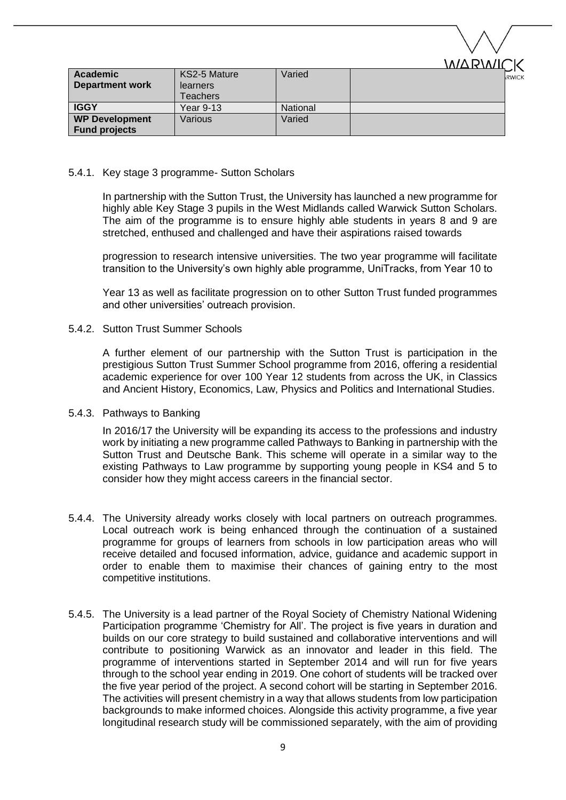|                        |                 |                 | WARWICK     |
|------------------------|-----------------|-----------------|-------------|
| <b>Academic</b>        | KS2-5 Mature    | Varied          | <b>RWIC</b> |
| <b>Department work</b> | <b>learners</b> |                 |             |
|                        | Teachers        |                 |             |
| <b>IGGY</b>            | Year 9-13       | <b>National</b> |             |
| <b>WP Development</b>  | Various         | Varied          |             |
| <b>Fund projects</b>   |                 |                 |             |

### 5.4.1. Key stage 3 programme- Sutton Scholars

In partnership with the Sutton Trust, the University has launched a new programme for highly able Key Stage 3 pupils in the West Midlands called Warwick Sutton Scholars. The aim of the programme is to ensure highly able students in years 8 and 9 are stretched, enthused and challenged and have their aspirations raised towards

progression to research intensive universities. The two year programme will facilitate transition to the University's own highly able programme, UniTracks, from Year 10 to

Year 13 as well as facilitate progression on to other Sutton Trust funded programmes and other universities' outreach provision.

### 5.4.2. Sutton Trust Summer Schools

A further element of our partnership with the Sutton Trust is participation in the prestigious Sutton Trust Summer School programme from 2016, offering a residential academic experience for over 100 Year 12 students from across the UK, in Classics and Ancient History, Economics, Law, Physics and Politics and International Studies.

#### 5.4.3. Pathways to Banking

In 2016/17 the University will be expanding its access to the professions and industry work by initiating a new programme called Pathways to Banking in partnership with the Sutton Trust and Deutsche Bank. This scheme will operate in a similar way to the existing Pathways to Law programme by supporting young people in KS4 and 5 to consider how they might access careers in the financial sector.

- 5.4.4. The University already works closely with local partners on outreach programmes. Local outreach work is being enhanced through the continuation of a sustained programme for groups of learners from schools in low participation areas who will receive detailed and focused information, advice, guidance and academic support in order to enable them to maximise their chances of gaining entry to the most competitive institutions.
- 5.4.5. The University is a lead partner of the Royal Society of Chemistry National Widening Participation programme 'Chemistry for All'. The project is five years in duration and builds on our core strategy to build sustained and collaborative interventions and will contribute to positioning Warwick as an innovator and leader in this field. The programme of interventions started in September 2014 and will run for five years through to the school year ending in 2019. One cohort of students will be tracked over the five year period of the project. A second cohort will be starting in September 2016. The activities will present chemistry in a way that allows students from low participation backgrounds to make informed choices. Alongside this activity programme, a five year longitudinal research study will be commissioned separately, with the aim of providing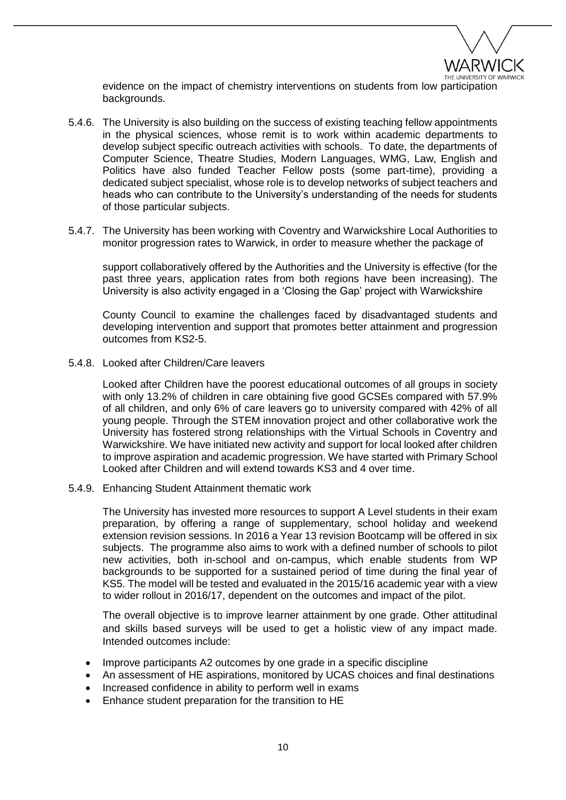

evidence on the impact of chemistry interventions on students from low participation backgrounds.

- 5.4.6. The University is also building on the success of existing teaching fellow appointments in the physical sciences, whose remit is to work within academic departments to develop subject specific outreach activities with schools. To date, the departments of Computer Science, Theatre Studies, Modern Languages, WMG, Law, English and Politics have also funded Teacher Fellow posts (some part-time), providing a dedicated subject specialist, whose role is to develop networks of subject teachers and heads who can contribute to the University's understanding of the needs for students of those particular subjects.
- 5.4.7. The University has been working with Coventry and Warwickshire Local Authorities to monitor progression rates to Warwick, in order to measure whether the package of

support collaboratively offered by the Authorities and the University is effective (for the past three years, application rates from both regions have been increasing). The University is also activity engaged in a 'Closing the Gap' project with Warwickshire

County Council to examine the challenges faced by disadvantaged students and developing intervention and support that promotes better attainment and progression outcomes from KS2-5.

5.4.8. Looked after Children/Care leavers

Looked after Children have the poorest educational outcomes of all groups in society with only 13.2% of children in care obtaining five good GCSEs compared with 57.9% of all children, and only 6% of care leavers go to university compared with 42% of all young people. Through the STEM innovation project and other collaborative work the University has fostered strong relationships with the Virtual Schools in Coventry and Warwickshire. We have initiated new activity and support for local looked after children to improve aspiration and academic progression. We have started with Primary School Looked after Children and will extend towards KS3 and 4 over time.

5.4.9. Enhancing Student Attainment thematic work

The University has invested more resources to support A Level students in their exam preparation, by offering a range of supplementary, school holiday and weekend extension revision sessions. In 2016 a Year 13 revision Bootcamp will be offered in six subjects. The programme also aims to work with a defined number of schools to pilot new activities, both in-school and on-campus, which enable students from WP backgrounds to be supported for a sustained period of time during the final year of KS5. The model will be tested and evaluated in the 2015/16 academic year with a view to wider rollout in 2016/17, dependent on the outcomes and impact of the pilot.

The overall objective is to improve learner attainment by one grade. Other attitudinal and skills based surveys will be used to get a holistic view of any impact made. Intended outcomes include:

- Improve participants A2 outcomes by one grade in a specific discipline
- An assessment of HE aspirations, monitored by UCAS choices and final destinations
- Increased confidence in ability to perform well in exams
- Enhance student preparation for the transition to HE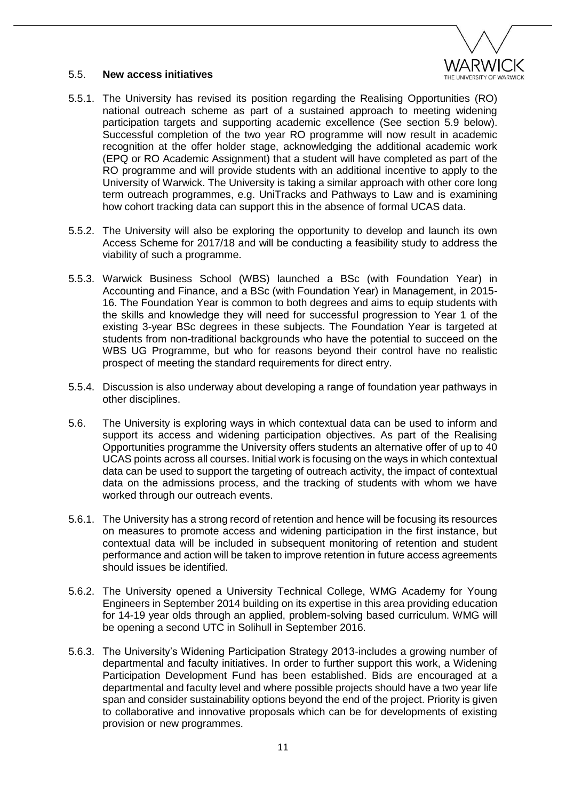

### 5.5. **New access initiatives**

- 5.5.1. The University has revised its position regarding the Realising Opportunities (RO) national outreach scheme as part of a sustained approach to meeting widening participation targets and supporting academic excellence (See section 5.9 below). Successful completion of the two year RO programme will now result in academic recognition at the offer holder stage, acknowledging the additional academic work (EPQ or RO Academic Assignment) that a student will have completed as part of the RO programme and will provide students with an additional incentive to apply to the University of Warwick. The University is taking a similar approach with other core long term outreach programmes, e.g. UniTracks and Pathways to Law and is examining how cohort tracking data can support this in the absence of formal UCAS data.
- 5.5.2. The University will also be exploring the opportunity to develop and launch its own Access Scheme for 2017/18 and will be conducting a feasibility study to address the viability of such a programme.
- 5.5.3. Warwick Business School (WBS) launched a BSc (with Foundation Year) in Accounting and Finance, and a BSc (with Foundation Year) in Management, in 2015- 16. The Foundation Year is common to both degrees and aims to equip students with the skills and knowledge they will need for successful progression to Year 1 of the existing 3-year BSc degrees in these subjects. The Foundation Year is targeted at students from non-traditional backgrounds who have the potential to succeed on the WBS UG Programme, but who for reasons beyond their control have no realistic prospect of meeting the standard requirements for direct entry.
- 5.5.4. Discussion is also underway about developing a range of foundation year pathways in other disciplines.
- 5.6. The University is exploring ways in which contextual data can be used to inform and support its access and widening participation objectives. As part of the Realising Opportunities programme the University offers students an alternative offer of up to 40 UCAS points across all courses. Initial work is focusing on the ways in which contextual data can be used to support the targeting of outreach activity, the impact of contextual data on the admissions process, and the tracking of students with whom we have worked through our outreach events.
- 5.6.1. The University has a strong record of retention and hence will be focusing its resources on measures to promote access and widening participation in the first instance, but contextual data will be included in subsequent monitoring of retention and student performance and action will be taken to improve retention in future access agreements should issues be identified.
- 5.6.2. The University opened a University Technical College, WMG Academy for Young Engineers in September 2014 building on its expertise in this area providing education for 14-19 year olds through an applied, problem-solving based curriculum. WMG will be opening a second UTC in Solihull in September 2016.
- 5.6.3. The University's Widening Participation Strategy 2013-includes a growing number of departmental and faculty initiatives. In order to further support this work, a Widening Participation Development Fund has been established. Bids are encouraged at a departmental and faculty level and where possible projects should have a two year life span and consider sustainability options beyond the end of the project. Priority is given to collaborative and innovative proposals which can be for developments of existing provision or new programmes.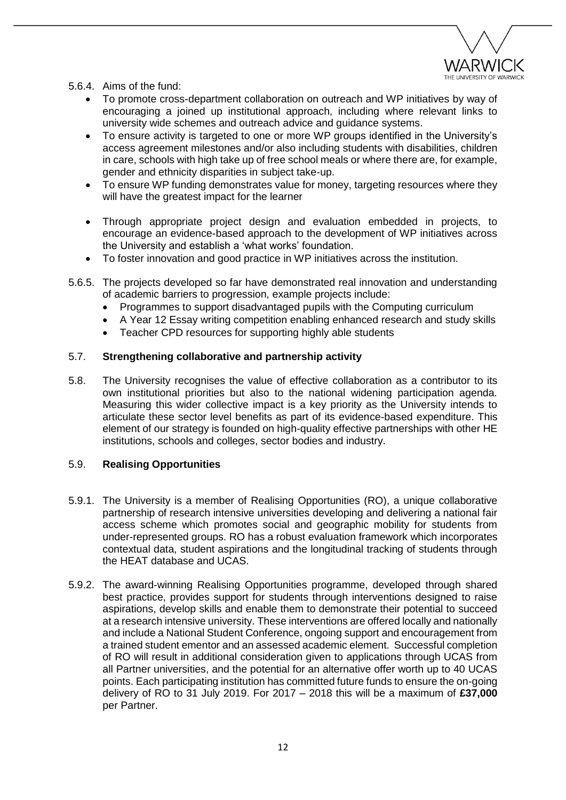

- 5.6.4. Aims of the fund:
	- To promote cross-department collaboration on outreach and WP initiatives by way of encouraging a joined up institutional approach, including where relevant links to university wide schemes and outreach advice and guidance systems.
	- To ensure activity is targeted to one or more WP groups identified in the University's access agreement milestones and/or also including students with disabilities, children in care, schools with high take up of free school meals or where there are, for example, gender and ethnicity disparities in subject take-up.
	- To ensure WP funding demonstrates value for money, targeting resources where they will have the greatest impact for the learner
	- Through appropriate project design and evaluation embedded in projects, to encourage an evidence-based approach to the development of WP initiatives across the University and establish a 'what works' foundation.
	- To foster innovation and good practice in WP initiatives across the institution.
- 5.6.5. The projects developed so far have demonstrated real innovation and understanding of academic barriers to progression, example projects include:
	- Programmes to support disadvantaged pupils with the Computing curriculum
	- A Year 12 Essay writing competition enabling enhanced research and study skills
	- Teacher CPD resources for supporting highly able students

### 5.7. **Strengthening collaborative and partnership activity**

5.8. The University recognises the value of effective collaboration as a contributor to its own institutional priorities but also to the national widening participation agenda. Measuring this wider collective impact is a key priority as the University intends to articulate these sector level benefits as part of its evidence-based expenditure. This element of our strategy is founded on high-quality effective partnerships with other HE institutions, schools and colleges, sector bodies and industry.

#### 5.9. **Realising Opportunities**

- 5.9.1. The University is a member of Realising Opportunities (RO), a unique collaborative partnership of research intensive universities developing and delivering a national fair access scheme which promotes social and geographic mobility for students from under-represented groups. RO has a robust evaluation framework which incorporates contextual data, student aspirations and the longitudinal tracking of students through the HEAT database and UCAS.
- 5.9.2. The award-winning Realising Opportunities programme, developed through shared best practice, provides support for students through interventions designed to raise aspirations, develop skills and enable them to demonstrate their potential to succeed at a research intensive university. These interventions are offered locally and nationally and include a National Student Conference, ongoing support and encouragement from a trained student ementor and an assessed academic element. Successful completion of RO will result in additional consideration given to applications through UCAS from all Partner universities, and the potential for an alternative offer worth up to 40 UCAS points. Each participating institution has committed future funds to ensure the on-going delivery of RO to 31 July 2019. For 2017 – 2018 this will be a maximum of **£37,000**  per Partner.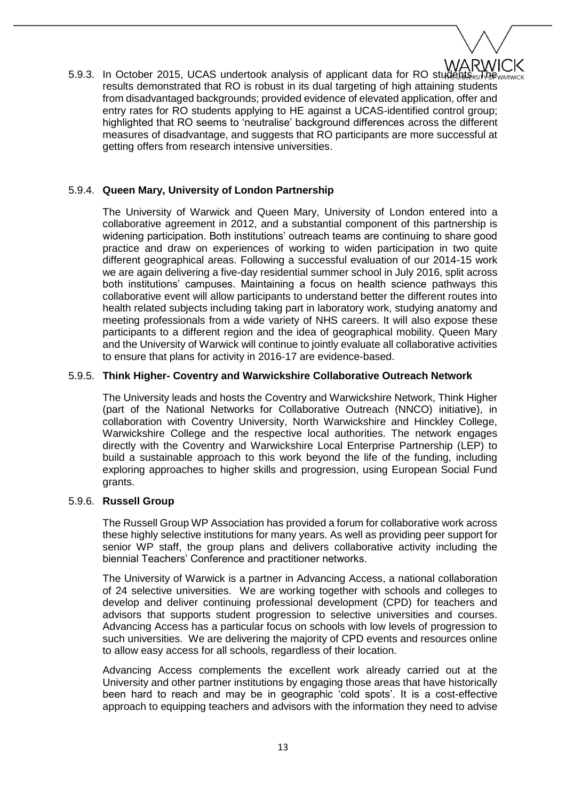

5.9.3. In October 2015, UCAS undertook analysis of applicant data for RO students. The warvice results demonstrated that RO is robust in its dual targeting of high attaining students from disadvantaged backgrounds; provided evidence of elevated application, offer and entry rates for RO students applying to HE against a UCAS-identified control group; highlighted that RO seems to 'neutralise' background differences across the different measures of disadvantage, and suggests that RO participants are more successful at getting offers from research intensive universities.

## 5.9.4. **Queen Mary, University of London Partnership**

The University of Warwick and Queen Mary, University of London entered into a collaborative agreement in 2012, and a substantial component of this partnership is widening participation. Both institutions' outreach teams are continuing to share good practice and draw on experiences of working to widen participation in two quite different geographical areas. Following a successful evaluation of our 2014-15 work we are again delivering a five-day residential summer school in July 2016, split across both institutions' campuses. Maintaining a focus on health science pathways this collaborative event will allow participants to understand better the different routes into health related subjects including taking part in laboratory work, studying anatomy and meeting professionals from a wide variety of NHS careers. It will also expose these participants to a different region and the idea of geographical mobility. Queen Mary and the University of Warwick will continue to jointly evaluate all collaborative activities to ensure that plans for activity in 2016-17 are evidence-based.

### 5.9.5. **Think Higher- Coventry and Warwickshire Collaborative Outreach Network**

The University leads and hosts the Coventry and Warwickshire Network, Think Higher (part of the National Networks for Collaborative Outreach (NNCO) initiative), in collaboration with Coventry University, North Warwickshire and Hinckley College, Warwickshire College and the respective local authorities. The network engages directly with the Coventry and Warwickshire Local Enterprise Partnership (LEP) to build a sustainable approach to this work beyond the life of the funding, including exploring approaches to higher skills and progression, using European Social Fund grants.

#### 5.9.6. **Russell Group**

The Russell Group WP Association has provided a forum for collaborative work across these highly selective institutions for many years. As well as providing peer support for senior WP staff, the group plans and delivers collaborative activity including the biennial Teachers' Conference and practitioner networks.

The University of Warwick is a partner in Advancing Access, a national collaboration of 24 selective universities. We are working together with schools and colleges to develop and deliver continuing professional development (CPD) for teachers and advisors that supports student progression to selective universities and courses. Advancing Access has a particular focus on schools with low levels of progression to such universities. We are delivering the majority of CPD events and resources online to allow easy access for all schools, regardless of their location.

Advancing Access complements the excellent work already carried out at the University and other partner institutions by engaging those areas that have historically been hard to reach and may be in geographic 'cold spots'. It is a cost-effective approach to equipping teachers and advisors with the information they need to advise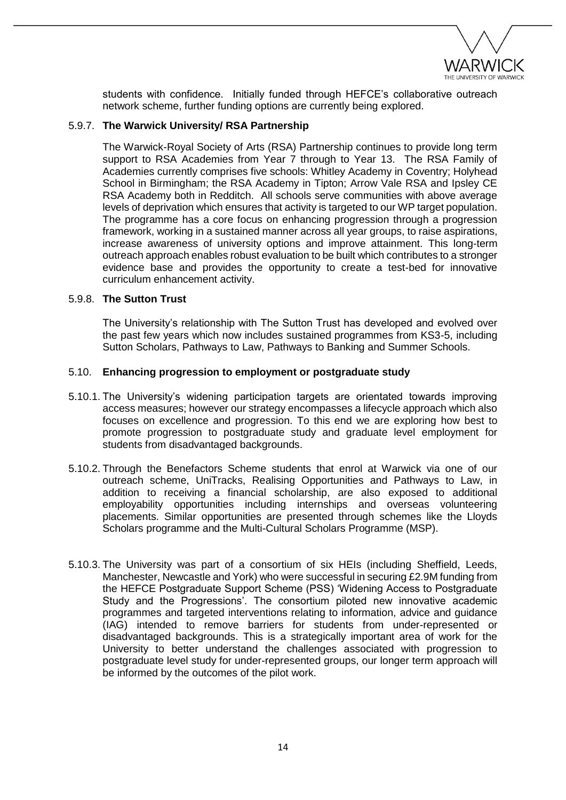

students with confidence. Initially funded through HEFCE's collaborative outreach network scheme, further funding options are currently being explored.

### 5.9.7. **The Warwick University/ RSA Partnership**

The Warwick-Royal Society of Arts (RSA) Partnership continues to provide long term support to RSA Academies from Year 7 through to Year 13. The RSA Family of Academies currently comprises five schools: Whitley Academy in Coventry; Holyhead School in Birmingham; the RSA Academy in Tipton; Arrow Vale RSA and Ipsley CE RSA Academy both in Redditch. All schools serve communities with above average levels of deprivation which ensures that activity is targeted to our WP target population. The programme has a core focus on enhancing progression through a progression framework, working in a sustained manner across all year groups, to raise aspirations, increase awareness of university options and improve attainment. This long-term outreach approach enables robust evaluation to be built which contributes to a stronger evidence base and provides the opportunity to create a test-bed for innovative curriculum enhancement activity.

#### 5.9.8. **The Sutton Trust**

The University's relationship with The Sutton Trust has developed and evolved over the past few years which now includes sustained programmes from KS3-5, including Sutton Scholars, Pathways to Law, Pathways to Banking and Summer Schools.

### 5.10. **Enhancing progression to employment or postgraduate study**

- 5.10.1. The University's widening participation targets are orientated towards improving access measures; however our strategy encompasses a lifecycle approach which also focuses on excellence and progression. To this end we are exploring how best to promote progression to postgraduate study and graduate level employment for students from disadvantaged backgrounds.
- 5.10.2. Through the Benefactors Scheme students that enrol at Warwick via one of our outreach scheme, UniTracks, Realising Opportunities and Pathways to Law, in addition to receiving a financial scholarship, are also exposed to additional employability opportunities including internships and overseas volunteering placements. Similar opportunities are presented through schemes like the Lloyds Scholars programme and the Multi-Cultural Scholars Programme (MSP).
- 5.10.3. The University was part of a consortium of six HEIs (including Sheffield, Leeds, Manchester, Newcastle and York) who were successful in securing £2.9M funding from the HEFCE Postgraduate Support Scheme (PSS) 'Widening Access to Postgraduate Study and the Progressions'. The consortium piloted new innovative academic programmes and targeted interventions relating to information, advice and guidance (IAG) intended to remove barriers for students from under-represented or disadvantaged backgrounds. This is a strategically important area of work for the University to better understand the challenges associated with progression to postgraduate level study for under-represented groups, our longer term approach will be informed by the outcomes of the pilot work.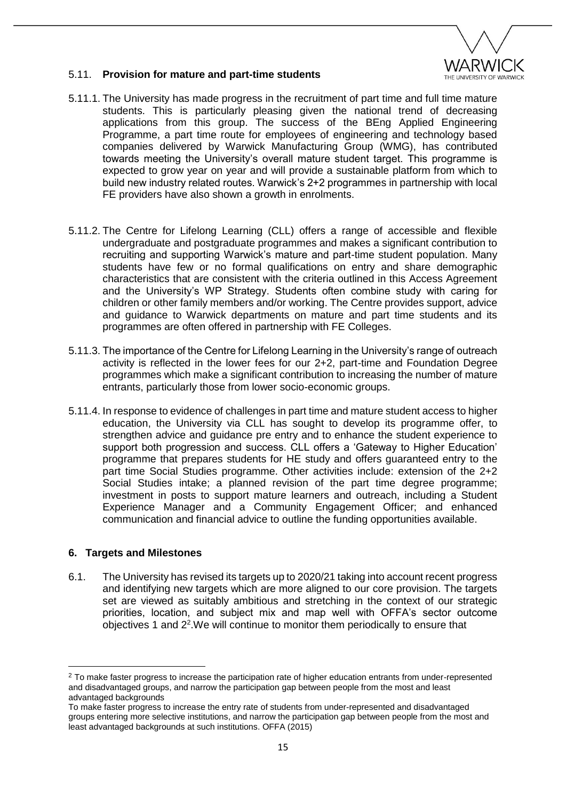

## 5.11. **Provision for mature and part-time students**

- 5.11.1. The University has made progress in the recruitment of part time and full time mature students. This is particularly pleasing given the national trend of decreasing applications from this group. The success of the BEng Applied Engineering Programme, a part time route for employees of engineering and technology based companies delivered by Warwick Manufacturing Group (WMG), has contributed towards meeting the University's overall mature student target. This programme is expected to grow year on year and will provide a sustainable platform from which to build new industry related routes. Warwick's 2+2 programmes in partnership with local FE providers have also shown a growth in enrolments.
- 5.11.2. The Centre for Lifelong Learning (CLL) offers a range of accessible and flexible undergraduate and postgraduate programmes and makes a significant contribution to recruiting and supporting Warwick's mature and part-time student population. Many students have few or no formal qualifications on entry and share demographic characteristics that are consistent with the criteria outlined in this Access Agreement and the University's WP Strategy. Students often combine study with caring for children or other family members and/or working. The Centre provides support, advice and guidance to Warwick departments on mature and part time students and its programmes are often offered in partnership with FE Colleges.
- 5.11.3. The importance of the Centre for Lifelong Learning in the University's range of outreach activity is reflected in the lower fees for our 2+2, part-time and Foundation Degree programmes which make a significant contribution to increasing the number of mature entrants, particularly those from lower socio-economic groups.
- 5.11.4. In response to evidence of challenges in part time and mature student access to higher education, the University via CLL has sought to develop its programme offer, to strengthen advice and guidance pre entry and to enhance the student experience to support both progression and success. CLL offers a 'Gateway to Higher Education' programme that prepares students for HE study and offers guaranteed entry to the part time Social Studies programme. Other activities include: extension of the 2+2 Social Studies intake; a planned revision of the part time degree programme; investment in posts to support mature learners and outreach, including a Student Experience Manager and a Community Engagement Officer; and enhanced communication and financial advice to outline the funding opportunities available.

#### **6. Targets and Milestones**

**.** 

6.1. The University has revised its targets up to 2020/21 taking into account recent progress and identifying new targets which are more aligned to our core provision. The targets set are viewed as suitably ambitious and stretching in the context of our strategic priorities, location, and subject mix and map well with OFFA's sector outcome objectives 1 and 2<sup>2</sup>. We will continue to monitor them periodically to ensure that

<sup>&</sup>lt;sup>2</sup> To make faster progress to increase the participation rate of higher education entrants from under-represented and disadvantaged groups, and narrow the participation gap between people from the most and least advantaged backgrounds

To make faster progress to increase the entry rate of students from under-represented and disadvantaged groups entering more selective institutions, and narrow the participation gap between people from the most and least advantaged backgrounds at such institutions. OFFA (2015)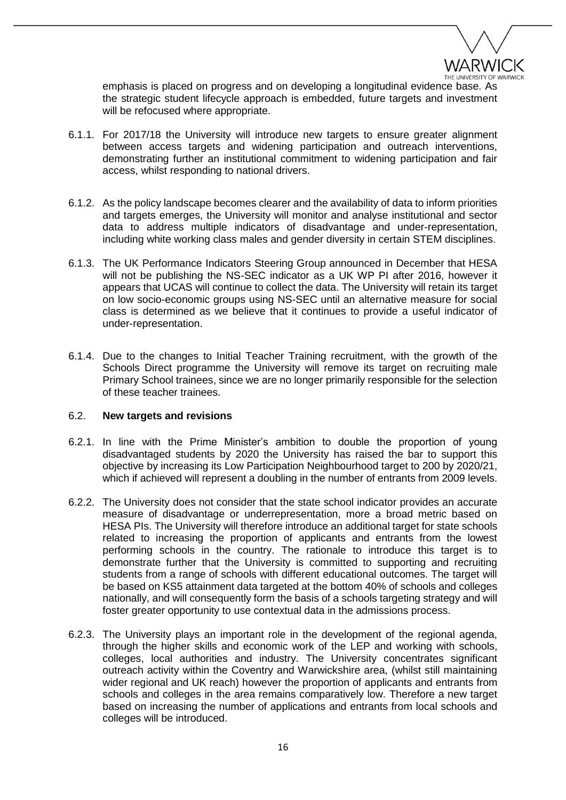

emphasis is placed on progress and on developing a longitudinal evidence base. As the strategic student lifecycle approach is embedded, future targets and investment will be refocused where appropriate.

- 6.1.1. For 2017/18 the University will introduce new targets to ensure greater alignment between access targets and widening participation and outreach interventions, demonstrating further an institutional commitment to widening participation and fair access, whilst responding to national drivers.
- 6.1.2. As the policy landscape becomes clearer and the availability of data to inform priorities and targets emerges, the University will monitor and analyse institutional and sector data to address multiple indicators of disadvantage and under-representation, including white working class males and gender diversity in certain STEM disciplines.
- 6.1.3. The UK Performance Indicators Steering Group announced in December that HESA will not be publishing the NS-SEC indicator as a UK WP PI after 2016, however it appears that UCAS will continue to collect the data. The University will retain its target on low socio-economic groups using NS-SEC until an alternative measure for social class is determined as we believe that it continues to provide a useful indicator of under-representation.
- 6.1.4. Due to the changes to Initial Teacher Training recruitment, with the growth of the Schools Direct programme the University will remove its target on recruiting male Primary School trainees, since we are no longer primarily responsible for the selection of these teacher trainees.

#### 6.2. **New targets and revisions**

- 6.2.1. In line with the Prime Minister's ambition to double the proportion of young disadvantaged students by 2020 the University has raised the bar to support this objective by increasing its Low Participation Neighbourhood target to 200 by 2020/21, which if achieved will represent a doubling in the number of entrants from 2009 levels.
- 6.2.2. The University does not consider that the state school indicator provides an accurate measure of disadvantage or underrepresentation, more a broad metric based on HESA PIs. The University will therefore introduce an additional target for state schools related to increasing the proportion of applicants and entrants from the lowest performing schools in the country. The rationale to introduce this target is to demonstrate further that the University is committed to supporting and recruiting students from a range of schools with different educational outcomes. The target will be based on KS5 attainment data targeted at the bottom 40% of schools and colleges nationally, and will consequently form the basis of a schools targeting strategy and will foster greater opportunity to use contextual data in the admissions process.
- 6.2.3. The University plays an important role in the development of the regional agenda, through the higher skills and economic work of the LEP and working with schools, colleges, local authorities and industry. The University concentrates significant outreach activity within the Coventry and Warwickshire area, (whilst still maintaining wider regional and UK reach) however the proportion of applicants and entrants from schools and colleges in the area remains comparatively low. Therefore a new target based on increasing the number of applications and entrants from local schools and colleges will be introduced.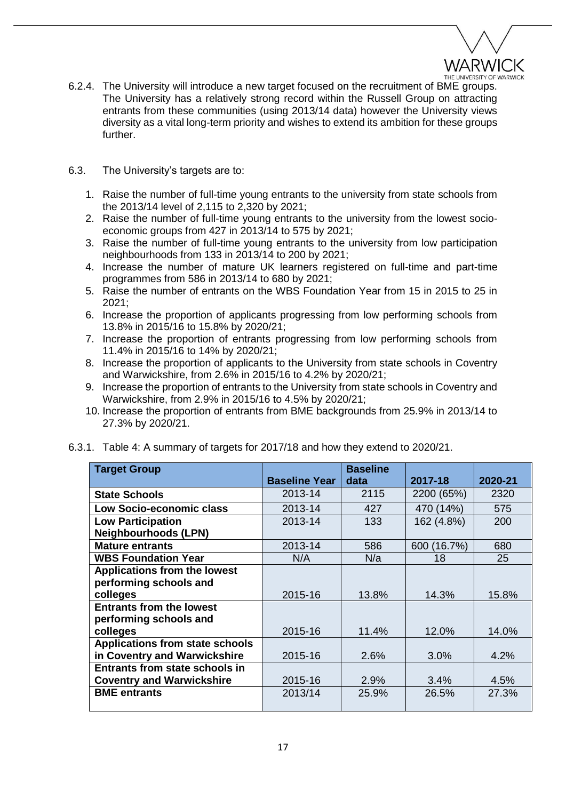

- 6.2.4. The University will introduce a new target focused on the recruitment of BME groups. The University has a relatively strong record within the Russell Group on attracting entrants from these communities (using 2013/14 data) however the University views diversity as a vital long-term priority and wishes to extend its ambition for these groups further.
- 6.3. The University's targets are to:
	- 1. Raise the number of full-time young entrants to the university from state schools from the 2013/14 level of 2,115 to 2,320 by 2021;
	- 2. Raise the number of full-time young entrants to the university from the lowest socioeconomic groups from 427 in 2013/14 to 575 by 2021;
	- 3. Raise the number of full-time young entrants to the university from low participation neighbourhoods from 133 in 2013/14 to 200 by 2021;
	- 4. Increase the number of mature UK learners registered on full-time and part-time programmes from 586 in 2013/14 to 680 by 2021;
	- 5. Raise the number of entrants on the WBS Foundation Year from 15 in 2015 to 25 in 2021;
	- 6. Increase the proportion of applicants progressing from low performing schools from 13.8% in 2015/16 to 15.8% by 2020/21;
	- 7. Increase the proportion of entrants progressing from low performing schools from 11.4% in 2015/16 to 14% by 2020/21;
	- 8. Increase the proportion of applicants to the University from state schools in Coventry and Warwickshire, from 2.6% in 2015/16 to 4.2% by 2020/21;
	- 9. Increase the proportion of entrants to the University from state schools in Coventry and Warwickshire, from 2.9% in 2015/16 to 4.5% by 2020/21;
	- 10. Increase the proportion of entrants from BME backgrounds from 25.9% in 2013/14 to 27.3% by 2020/21.

| <b>Target Group</b>                    |                      | <b>Baseline</b> |             |         |
|----------------------------------------|----------------------|-----------------|-------------|---------|
|                                        | <b>Baseline Year</b> | data            | 2017-18     | 2020-21 |
| <b>State Schools</b>                   | 2013-14              | 2115            | 2200 (65%)  | 2320    |
| Low Socio-economic class               | 2013-14              | 427             | 470 (14%)   | 575     |
| <b>Low Participation</b>               | 2013-14              | 133             | 162 (4.8%)  | 200     |
| <b>Neighbourhoods (LPN)</b>            |                      |                 |             |         |
| <b>Mature entrants</b>                 | 2013-14              | 586             | 600 (16.7%) | 680     |
| <b>WBS Foundation Year</b>             | N/A                  | N/a             | 18          | 25      |
| <b>Applications from the lowest</b>    |                      |                 |             |         |
| performing schools and                 |                      |                 |             |         |
| colleges                               | 2015-16              | 13.8%           | 14.3%       | 15.8%   |
| <b>Entrants from the lowest</b>        |                      |                 |             |         |
| performing schools and                 |                      |                 |             |         |
| colleges                               | 2015-16              | 11.4%           | 12.0%       | 14.0%   |
| <b>Applications from state schools</b> |                      |                 |             |         |
| in Coventry and Warwickshire           | 2015-16              | 2.6%            | 3.0%        | 4.2%    |
| <b>Entrants from state schools in</b>  |                      |                 |             |         |
| <b>Coventry and Warwickshire</b>       | 2015-16              | 2.9%            | 3.4%        | 4.5%    |
| <b>BME</b> entrants                    | 2013/14              | 25.9%           | 26.5%       | 27.3%   |
|                                        |                      |                 |             |         |

6.3.1. Table 4: A summary of targets for 2017/18 and how they extend to 2020/21.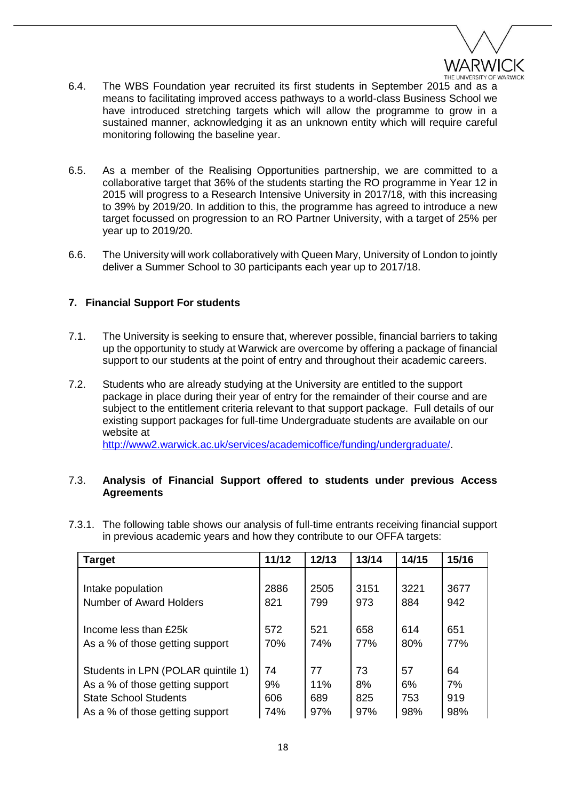

- 6.4. The WBS Foundation year recruited its first students in September 2015 and as a means to facilitating improved access pathways to a world-class Business School we have introduced stretching targets which will allow the programme to grow in a sustained manner, acknowledging it as an unknown entity which will require careful monitoring following the baseline year.
- 6.5. As a member of the Realising Opportunities partnership, we are committed to a collaborative target that 36% of the students starting the RO programme in Year 12 in 2015 will progress to a Research Intensive University in 2017/18, with this increasing to 39% by 2019/20. In addition to this, the programme has agreed to introduce a new target focussed on progression to an RO Partner University, with a target of 25% per year up to 2019/20.
- 6.6. The University will work collaboratively with Queen Mary, University of London to jointly deliver a Summer School to 30 participants each year up to 2017/18.

# **7. Financial Support For students**

- 7.1. The University is seeking to ensure that, wherever possible, financial barriers to taking up the opportunity to study at Warwick are overcome by offering a package of financial support to our students at the point of entry and throughout their academic careers.
- 7.2. Students who are already studying at the University are entitled to the support package in place during their year of entry for the remainder of their course and are subject to the entitlement criteria relevant to that support package. Full details of our existing support packages for full-time Undergraduate students are available on our website at

[http://www2.warwick.ac.uk/services/academicoffice/funding/undergraduate/.](http://www2.warwick.ac.uk/services/academicoffice/funding/undergraduate/)

## 7.3. **Analysis of Financial Support offered to students under previous Access Agreements**

| <b>Target</b>                      | 11/12 | 12/13 | 13/14 | 14/15 | 15/16 |
|------------------------------------|-------|-------|-------|-------|-------|
| Intake population                  | 2886  | 2505  | 3151  | 3221  | 3677  |
| Number of Award Holders            | 821   | 799   | 973   | 884   | 942   |
| Income less than £25k              | 572   | 521   | 658   | 614   | 651   |
| As a % of those getting support    | 70%   | 74%   | 77%   | 80%   | 77%   |
| Students in LPN (POLAR quintile 1) | 74    | 77    | 73    | 57    | 64    |
| As a % of those getting support    | 9%    | 11%   | 8%    | 6%    | 7%    |
| <b>State School Students</b>       | 606   | 689   | 825   | 753   | 919   |
| As a % of those getting support    | 74%   | 97%   | 97%   | 98%   | 98%   |

7.3.1. The following table shows our analysis of full-time entrants receiving financial support in previous academic years and how they contribute to our OFFA targets: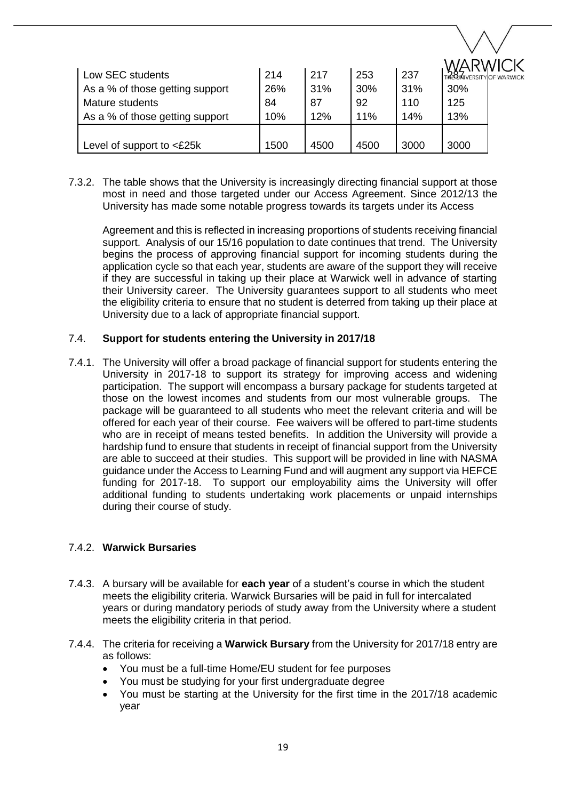| Low SEC students                | 214  | 217  | 253  | 237  | TA 8 MIVERSITY OF |
|---------------------------------|------|------|------|------|-------------------|
| As a % of those getting support | 26%  | 31%  | 30%  | 31%  | 30%               |
| Mature students                 | 84   | 87   | 92   | 110  | 125               |
| As a % of those getting support | 10%  | 12%  | 11%  | 14%  | 13%               |
|                                 |      |      |      |      |                   |
| Level of support to <£25k       | 1500 | 4500 | 4500 | 3000 | 3000              |

7.3.2. The table shows that the University is increasingly directing financial support at those most in need and those targeted under our Access Agreement. Since 2012/13 the University has made some notable progress towards its targets under its Access

Agreement and this is reflected in increasing proportions of students receiving financial support. Analysis of our 15/16 population to date continues that trend. The University begins the process of approving financial support for incoming students during the application cycle so that each year, students are aware of the support they will receive if they are successful in taking up their place at Warwick well in advance of starting their University career. The University guarantees support to all students who meet the eligibility criteria to ensure that no student is deterred from taking up their place at University due to a lack of appropriate financial support.

## 7.4. **Support for students entering the University in 2017/18**

7.4.1. The University will offer a broad package of financial support for students entering the University in 2017-18 to support its strategy for improving access and widening participation. The support will encompass a bursary package for students targeted at those on the lowest incomes and students from our most vulnerable groups. The package will be guaranteed to all students who meet the relevant criteria and will be offered for each year of their course. Fee waivers will be offered to part-time students who are in receipt of means tested benefits. In addition the University will provide a hardship fund to ensure that students in receipt of financial support from the University are able to succeed at their studies. This support will be provided in line with NASMA guidance under the Access to Learning Fund and will augment any support via HEFCE funding for 2017-18. To support our employability aims the University will offer additional funding to students undertaking work placements or unpaid internships during their course of study.

## 7.4.2. **Warwick Bursaries**

- 7.4.3. A bursary will be available for **each year** of a student's course in which the student meets the eligibility criteria. Warwick Bursaries will be paid in full for intercalated years or during mandatory periods of study away from the University where a student meets the eligibility criteria in that period.
- 7.4.4. The criteria for receiving a **Warwick Bursary** from the University for 2017/18 entry are as follows:
	- You must be a full-time Home/EU student for fee purposes
	- You must be studying for your first undergraduate degree
	- You must be starting at the University for the first time in the 2017/18 academic year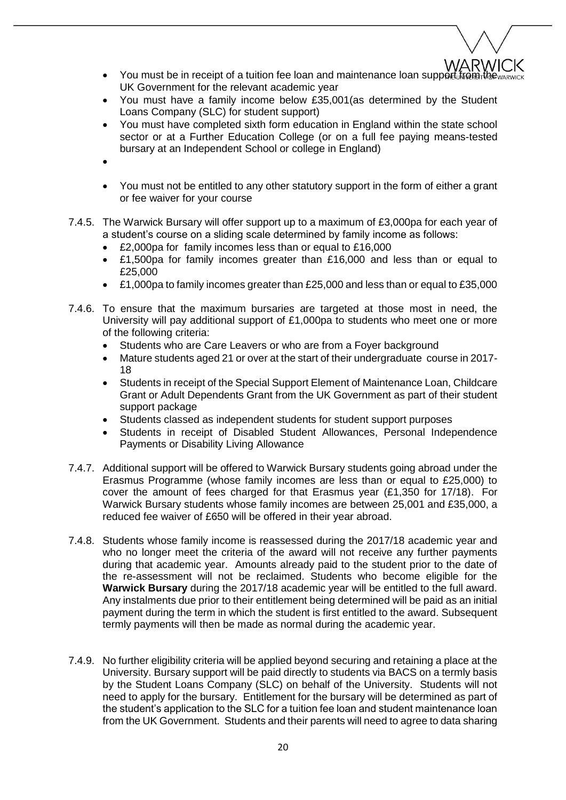

- You must be in receipt of a tuition fee loan and maintenance loan support from the ward of UK Government for the relevant academic year
- You must have a family income below £35,001(as determined by the Student Loans Company (SLC) for student support)
- You must have completed sixth form education in England within the state school sector or at a Further Education College (or on a full fee paying means-tested bursary at an Independent School or college in England)
- $\bullet$
- You must not be entitled to any other statutory support in the form of either a grant or fee waiver for your course
- 7.4.5. The Warwick Bursary will offer support up to a maximum of £3,000pa for each year of a student's course on a sliding scale determined by family income as follows:
	- £2,000pa for family incomes less than or equal to £16,000
	- £1,500pa for family incomes greater than £16,000 and less than or equal to £25,000
	- £1,000pa to family incomes greater than £25,000 and less than or equal to £35,000
- 7.4.6. To ensure that the maximum bursaries are targeted at those most in need, the University will pay additional support of £1,000pa to students who meet one or more of the following criteria:
	- Students who are Care Leavers or who are from a Foyer background
	- Mature students aged 21 or over at the start of their undergraduate course in 2017- 18
	- Students in receipt of the Special Support Element of Maintenance Loan, Childcare Grant or Adult Dependents Grant from the UK Government as part of their student support package
	- Students classed as independent students for student support purposes
	- Students in receipt of Disabled Student Allowances, Personal Independence Payments or Disability Living Allowance
- 7.4.7. Additional support will be offered to Warwick Bursary students going abroad under the Erasmus Programme (whose family incomes are less than or equal to £25,000) to cover the amount of fees charged for that Erasmus year (£1,350 for 17/18). For Warwick Bursary students whose family incomes are between 25,001 and £35,000, a reduced fee waiver of £650 will be offered in their year abroad.
- 7.4.8. Students whose family income is reassessed during the 2017/18 academic year and who no longer meet the criteria of the award will not receive any further payments during that academic year. Amounts already paid to the student prior to the date of the re-assessment will not be reclaimed. Students who become eligible for the **Warwick Bursary** during the 2017/18 academic year will be entitled to the full award. Any instalments due prior to their entitlement being determined will be paid as an initial payment during the term in which the student is first entitled to the award. Subsequent termly payments will then be made as normal during the academic year.
- 7.4.9. No further eligibility criteria will be applied beyond securing and retaining a place at the University. Bursary support will be paid directly to students via BACS on a termly basis by the Student Loans Company (SLC) on behalf of the University. Students will not need to apply for the bursary. Entitlement for the bursary will be determined as part of the student's application to the SLC for a tuition fee loan and student maintenance loan from the UK Government. Students and their parents will need to agree to data sharing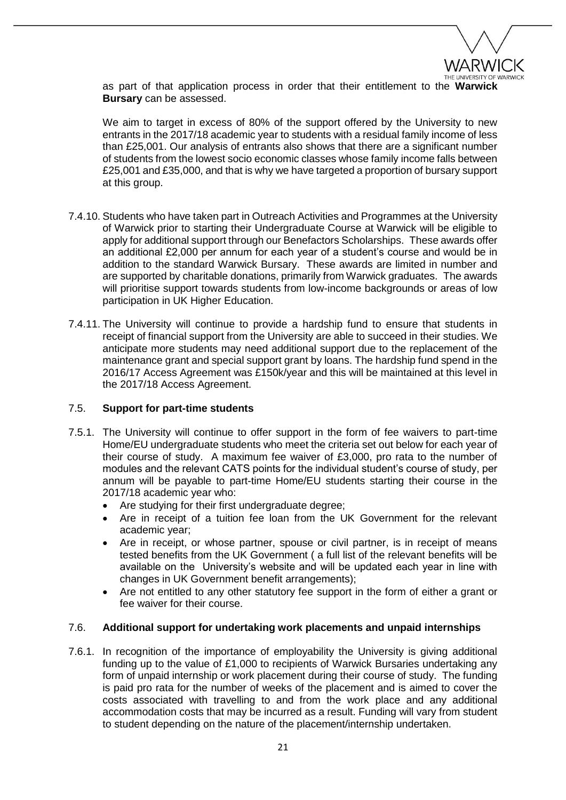

as part of that application process in order that their entitlement to the **Warwick Bursary** can be assessed.

We aim to target in excess of 80% of the support offered by the University to new entrants in the 2017/18 academic year to students with a residual family income of less than £25,001. Our analysis of entrants also shows that there are a significant number of students from the lowest socio economic classes whose family income falls between £25,001 and £35,000, and that is why we have targeted a proportion of bursary support at this group.

- 7.4.10. Students who have taken part in Outreach Activities and Programmes at the University of Warwick prior to starting their Undergraduate Course at Warwick will be eligible to apply for additional support through our Benefactors Scholarships. These awards offer an additional £2,000 per annum for each year of a student's course and would be in addition to the standard Warwick Bursary. These awards are limited in number and are supported by charitable donations, primarily from Warwick graduates. The awards will prioritise support towards students from low-income backgrounds or areas of low participation in UK Higher Education.
- 7.4.11. The University will continue to provide a hardship fund to ensure that students in receipt of financial support from the University are able to succeed in their studies. We anticipate more students may need additional support due to the replacement of the maintenance grant and special support grant by loans. The hardship fund spend in the 2016/17 Access Agreement was £150k/year and this will be maintained at this level in the 2017/18 Access Agreement.

#### 7.5. **Support for part-time students**

- 7.5.1. The University will continue to offer support in the form of fee waivers to part-time Home/EU undergraduate students who meet the criteria set out below for each year of their course of study. A maximum fee waiver of £3,000, pro rata to the number of modules and the relevant CATS points for the individual student's course of study, per annum will be payable to part-time Home/EU students starting their course in the 2017/18 academic year who:
	- Are studying for their first undergraduate degree;
	- Are in receipt of a tuition fee loan from the UK Government for the relevant academic year;
	- Are in receipt, or whose partner, spouse or civil partner, is in receipt of means tested benefits from the UK Government ( a full list of the relevant benefits will be available on the University's website and will be updated each year in line with changes in UK Government benefit arrangements);
	- Are not entitled to any other statutory fee support in the form of either a grant or fee waiver for their course.

## 7.6. **Additional support for undertaking work placements and unpaid internships**

7.6.1. In recognition of the importance of employability the University is giving additional funding up to the value of £1,000 to recipients of Warwick Bursaries undertaking any form of unpaid internship or work placement during their course of study. The funding is paid pro rata for the number of weeks of the placement and is aimed to cover the costs associated with travelling to and from the work place and any additional accommodation costs that may be incurred as a result. Funding will vary from student to student depending on the nature of the placement/internship undertaken.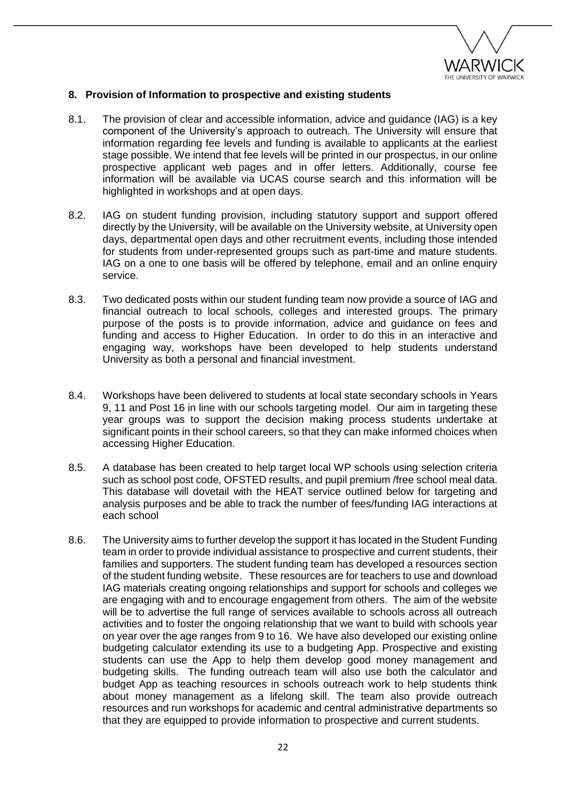

### **8. Provision of Information to prospective and existing students**

- 8.1. The provision of clear and accessible information, advice and guidance (IAG) is a key component of the University's approach to outreach. The University will ensure that information regarding fee levels and funding is available to applicants at the earliest stage possible. We intend that fee levels will be printed in our prospectus, in our online prospective applicant web pages and in offer letters. Additionally, course fee information will be available via UCAS course search and this information will be highlighted in workshops and at open days.
- 8.2. IAG on student funding provision, including statutory support and support offered directly by the University, will be available on the University website, at University open days, departmental open days and other recruitment events, including those intended for students from under-represented groups such as part-time and mature students. IAG on a one to one basis will be offered by telephone, email and an online enquiry service.
- 8.3. Two dedicated posts within our student funding team now provide a source of IAG and financial outreach to local schools, colleges and interested groups. The primary purpose of the posts is to provide information, advice and guidance on fees and funding and access to Higher Education. In order to do this in an interactive and engaging way, workshops have been developed to help students understand University as both a personal and financial investment.
- 8.4. Workshops have been delivered to students at local state secondary schools in Years 9, 11 and Post 16 in line with our schools targeting model. Our aim in targeting these year groups was to support the decision making process students undertake at significant points in their school careers, so that they can make informed choices when accessing Higher Education.
- 8.5. A database has been created to help target local WP schools using selection criteria such as school post code, OFSTED results, and pupil premium /free school meal data. This database will dovetail with the HEAT service outlined below for targeting and analysis purposes and be able to track the number of fees/funding IAG interactions at each school
- 8.6. The University aims to further develop the support it has located in the Student Funding team in order to provide individual assistance to prospective and current students, their families and supporters. The student funding team has developed a resources section of the student funding website. These resources are for teachers to use and download IAG materials creating ongoing relationships and support for schools and colleges we are engaging with and to encourage engagement from others. The aim of the website will be to advertise the full range of services available to schools across all outreach activities and to foster the ongoing relationship that we want to build with schools year on year over the age ranges from 9 to 16. We have also developed our existing online budgeting calculator extending its use to a budgeting App. Prospective and existing students can use the App to help them develop good money management and budgeting skills. The funding outreach team will also use both the calculator and budget App as teaching resources in schools outreach work to help students think about money management as a lifelong skill. The team also provide outreach resources and run workshops for academic and central administrative departments so that they are equipped to provide information to prospective and current students.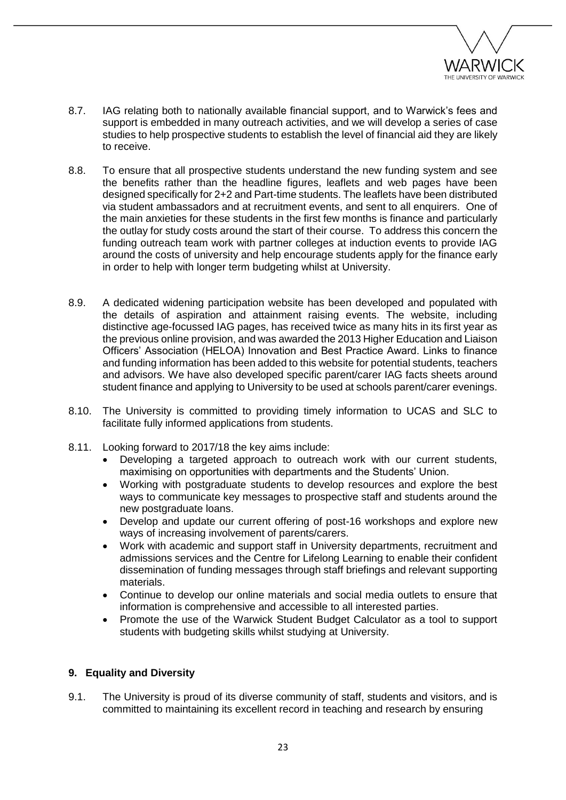

- 8.7. IAG relating both to nationally available financial support, and to Warwick's fees and support is embedded in many outreach activities, and we will develop a series of case studies to help prospective students to establish the level of financial aid they are likely to receive.
- 8.8. To ensure that all prospective students understand the new funding system and see the benefits rather than the headline figures, leaflets and web pages have been designed specifically for 2+2 and Part-time students. The leaflets have been distributed via student ambassadors and at recruitment events, and sent to all enquirers. One of the main anxieties for these students in the first few months is finance and particularly the outlay for study costs around the start of their course. To address this concern the funding outreach team work with partner colleges at induction events to provide IAG around the costs of university and help encourage students apply for the finance early in order to help with longer term budgeting whilst at University.
- 8.9. A dedicated widening participation website has been developed and populated with the details of aspiration and attainment raising events. The website, including distinctive age-focussed IAG pages, has received twice as many hits in its first year as the previous online provision, and was awarded the 2013 Higher Education and Liaison Officers' Association (HELOA) Innovation and Best Practice Award. Links to finance and funding information has been added to this website for potential students, teachers and advisors. We have also developed specific parent/carer IAG facts sheets around student finance and applying to University to be used at schools parent/carer evenings.
- 8.10. The University is committed to providing timely information to UCAS and SLC to facilitate fully informed applications from students.
- 8.11. Looking forward to 2017/18 the key aims include:
	- Developing a targeted approach to outreach work with our current students, maximising on opportunities with departments and the Students' Union.
	- Working with postgraduate students to develop resources and explore the best ways to communicate key messages to prospective staff and students around the new postgraduate loans.
	- Develop and update our current offering of post-16 workshops and explore new ways of increasing involvement of parents/carers.
	- Work with academic and support staff in University departments, recruitment and admissions services and the Centre for Lifelong Learning to enable their confident dissemination of funding messages through staff briefings and relevant supporting materials.
	- Continue to develop our online materials and social media outlets to ensure that information is comprehensive and accessible to all interested parties.
	- Promote the use of the Warwick Student Budget Calculator as a tool to support students with budgeting skills whilst studying at University.

# **9. Equality and Diversity**

9.1. The University is proud of its diverse community of staff, students and visitors, and is committed to maintaining its excellent record in teaching and research by ensuring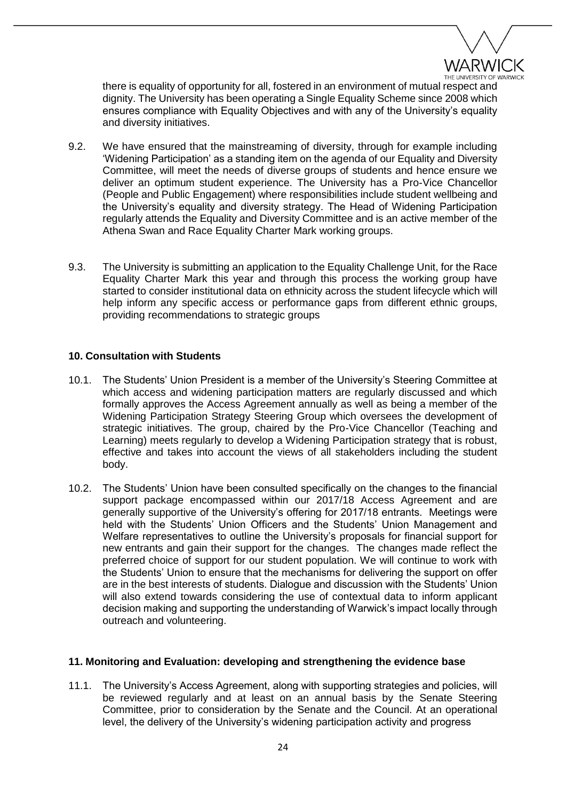

there is equality of opportunity for all, fostered in an environment of mutual respect and dignity. The University has been operating a Single Equality Scheme since 2008 which ensures compliance with Equality Objectives and with any of the University's equality and diversity initiatives.

- 9.2. We have ensured that the mainstreaming of diversity, through for example including 'Widening Participation' as a standing item on the agenda of our Equality and Diversity Committee, will meet the needs of diverse groups of students and hence ensure we deliver an optimum student experience. The University has a Pro-Vice Chancellor (People and Public Engagement) where responsibilities include student wellbeing and the University's equality and diversity strategy. The Head of Widening Participation regularly attends the Equality and Diversity Committee and is an active member of the Athena Swan and Race Equality Charter Mark working groups.
- 9.3. The University is submitting an application to the Equality Challenge Unit, for the Race Equality Charter Mark this year and through this process the working group have started to consider institutional data on ethnicity across the student lifecycle which will help inform any specific access or performance gaps from different ethnic groups, providing recommendations to strategic groups

### **10. Consultation with Students**

- 10.1. The Students' Union President is a member of the University's Steering Committee at which access and widening participation matters are regularly discussed and which formally approves the Access Agreement annually as well as being a member of the Widening Participation Strategy Steering Group which oversees the development of strategic initiatives. The group, chaired by the Pro-Vice Chancellor (Teaching and Learning) meets regularly to develop a Widening Participation strategy that is robust, effective and takes into account the views of all stakeholders including the student body.
- 10.2. The Students' Union have been consulted specifically on the changes to the financial support package encompassed within our 2017/18 Access Agreement and are generally supportive of the University's offering for 2017/18 entrants. Meetings were held with the Students' Union Officers and the Students' Union Management and Welfare representatives to outline the University's proposals for financial support for new entrants and gain their support for the changes. The changes made reflect the preferred choice of support for our student population. We will continue to work with the Students' Union to ensure that the mechanisms for delivering the support on offer are in the best interests of students. Dialogue and discussion with the Students' Union will also extend towards considering the use of contextual data to inform applicant decision making and supporting the understanding of Warwick's impact locally through outreach and volunteering.

### **11. Monitoring and Evaluation: developing and strengthening the evidence base**

11.1. The University's Access Agreement, along with supporting strategies and policies, will be reviewed regularly and at least on an annual basis by the Senate Steering Committee, prior to consideration by the Senate and the Council. At an operational level, the delivery of the University's widening participation activity and progress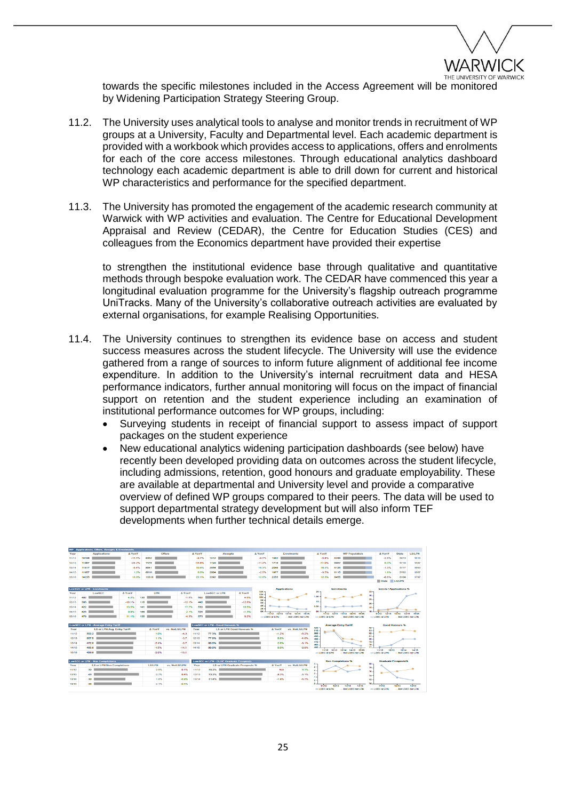

towards the specific milestones included in the Access Agreement will be monitored by Widening Participation Strategy Steering Group.

- 11.2. The University uses analytical tools to analyse and monitor trends in recruitment of WP groups at a University, Faculty and Departmental level. Each academic department is provided with a workbook which provides access to applications, offers and enrolments for each of the core access milestones. Through educational analytics dashboard technology each academic department is able to drill down for current and historical WP characteristics and performance for the specified department.
- 11.3. The University has promoted the engagement of the academic research community at Warwick with WP activities and evaluation. The Centre for Educational Development Appraisal and Review (CEDAR), the Centre for Education Studies (CES) and colleagues from the Economics department have provided their expertise

to strengthen the institutional evidence base through qualitative and quantitative methods through bespoke evaluation work. The CEDAR have commenced this year a longitudinal evaluation programme for the University's flagship outreach programme UniTracks. Many of the University's collaborative outreach activities are evaluated by external organisations, for example Realising Opportunities.

- 11.4. The University continues to strengthen its evidence base on access and student success measures across the student lifecycle. The University will use the evidence gathered from a range of sources to inform future alignment of additional fee income expenditure. In addition to the University's internal recruitment data and HESA performance indicators, further annual monitoring will focus on the impact of financial support on retention and the student experience including an examination of institutional performance outcomes for WP groups, including:
	- Surveying students in receipt of financial support to assess impact of support packages on the student experience
	- New educational analytics widening participation dashboards (see below) have recently been developed providing data on outcomes across the student lifecycle, including admissions, retention, good honours and graduate employability. These are available at departmental and University level and provide a comparative overview of defined WP groups compared to their peers. The data will be used to support departmental strategy development but will also inform TEF developments when further technical details emerge.

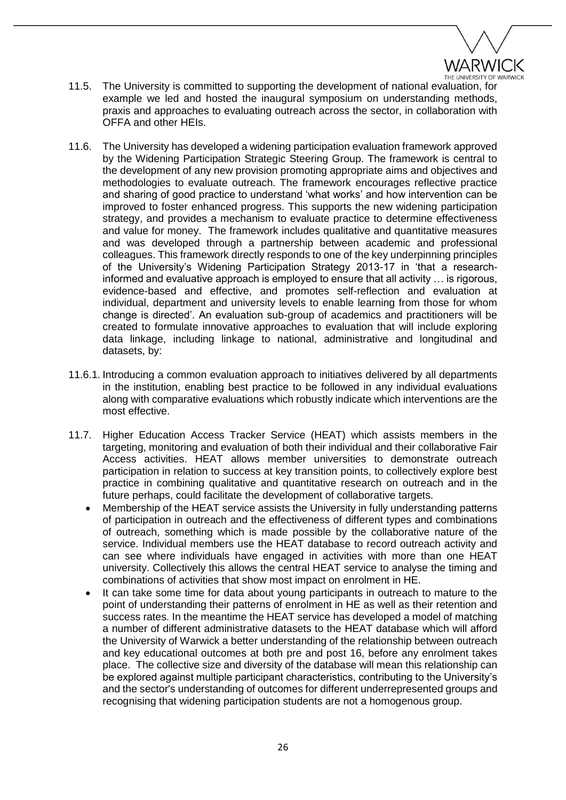

- 11.5. The University is committed to supporting the development of national evaluation, for example we led and hosted the inaugural symposium on understanding methods, praxis and approaches to evaluating outreach across the sector, in collaboration with OFFA and other HEIs.
- 11.6. The University has developed a widening participation evaluation framework approved by the Widening Participation Strategic Steering Group. The framework is central to the development of any new provision promoting appropriate aims and objectives and methodologies to evaluate outreach. The framework encourages reflective practice and sharing of good practice to understand 'what works' and how intervention can be improved to foster enhanced progress. This supports the new widening participation strategy, and provides a mechanism to evaluate practice to determine effectiveness and value for money. The framework includes qualitative and quantitative measures and was developed through a partnership between academic and professional colleagues. This framework directly responds to one of the key underpinning principles of the University's Widening Participation Strategy 2013-17 in 'that a researchinformed and evaluative approach is employed to ensure that all activity … is rigorous, evidence-based and effective, and promotes self-reflection and evaluation at individual, department and university levels to enable learning from those for whom change is directed'. An evaluation sub-group of academics and practitioners will be created to formulate innovative approaches to evaluation that will include exploring data linkage, including linkage to national, administrative and longitudinal and datasets, by:
- 11.6.1. Introducing a common evaluation approach to initiatives delivered by all departments in the institution, enabling best practice to be followed in any individual evaluations along with comparative evaluations which robustly indicate which interventions are the most effective.
- 11.7. Higher Education Access Tracker Service (HEAT) which assists members in the targeting, monitoring and evaluation of both their individual and their collaborative Fair Access activities. HEAT allows member universities to demonstrate outreach participation in relation to success at key transition points, to collectively explore best practice in combining qualitative and quantitative research on outreach and in the future perhaps, could facilitate the development of collaborative targets.
	- Membership of the HEAT service assists the University in fully understanding patterns of participation in outreach and the effectiveness of different types and combinations of outreach, something which is made possible by the collaborative nature of the service. Individual members use the HEAT database to record outreach activity and can see where individuals have engaged in activities with more than one HEAT university. Collectively this allows the central HEAT service to analyse the timing and combinations of activities that show most impact on enrolment in HE.
	- It can take some time for data about young participants in outreach to mature to the point of understanding their patterns of enrolment in HE as well as their retention and success rates. In the meantime the HEAT service has developed a model of matching a number of different administrative datasets to the HEAT database which will afford the University of Warwick a better understanding of the relationship between outreach and key educational outcomes at both pre and post 16, before any enrolment takes place. The collective size and diversity of the database will mean this relationship can be explored against multiple participant characteristics, contributing to the University's and the sector's understanding of outcomes for different underrepresented groups and recognising that widening participation students are not a homogenous group.